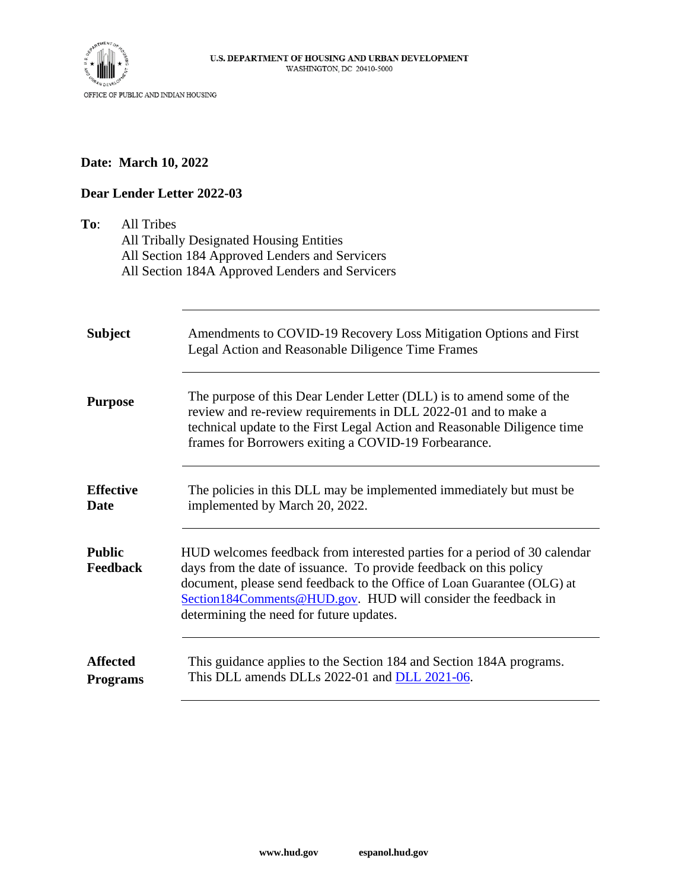

## **Date: March 10, 2022**

## **Dear Lender Letter 2022-03**

| <b>All Tribes</b><br>To:           | All Tribally Designated Housing Entities<br>All Section 184 Approved Lenders and Servicers<br>All Section 184A Approved Lenders and Servicers                                                                                                                                                                                           |
|------------------------------------|-----------------------------------------------------------------------------------------------------------------------------------------------------------------------------------------------------------------------------------------------------------------------------------------------------------------------------------------|
| <b>Subject</b>                     | Amendments to COVID-19 Recovery Loss Mitigation Options and First<br>Legal Action and Reasonable Diligence Time Frames                                                                                                                                                                                                                  |
| <b>Purpose</b>                     | The purpose of this Dear Lender Letter (DLL) is to amend some of the<br>review and re-review requirements in DLL 2022-01 and to make a<br>technical update to the First Legal Action and Reasonable Diligence time<br>frames for Borrowers exiting a COVID-19 Forbearance.                                                              |
| <b>Effective</b><br><b>Date</b>    | The policies in this DLL may be implemented immediately but must be<br>implemented by March 20, 2022.                                                                                                                                                                                                                                   |
| <b>Public</b><br>Feedback          | HUD welcomes feedback from interested parties for a period of 30 calendar<br>days from the date of issuance. To provide feedback on this policy<br>document, please send feedback to the Office of Loan Guarantee (OLG) at<br>Section184Comments@HUD.gov. HUD will consider the feedback in<br>determining the need for future updates. |
| <b>Affected</b><br><b>Programs</b> | This guidance applies to the Section 184 and Section 184A programs.<br>This DLL amends DLLs 2022-01 and DLL 2021-06.                                                                                                                                                                                                                    |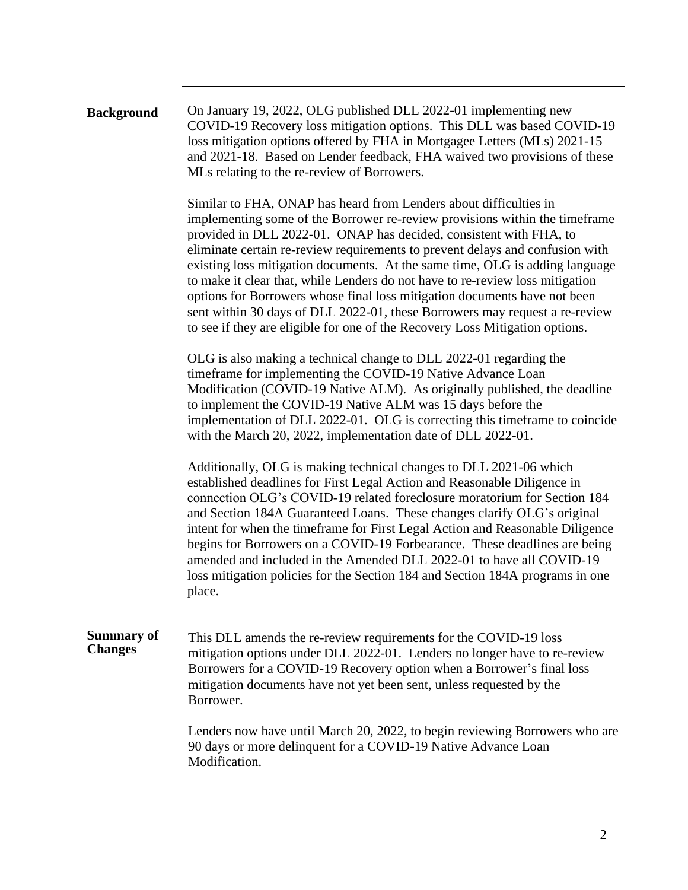| <b>Background</b> | On January 19, 2022, OLG published DLL 2022-01 implementing new           |
|-------------------|---------------------------------------------------------------------------|
|                   | COVID-19 Recovery loss mitigation options. This DLL was based COVID-19    |
|                   | loss mitigation options offered by FHA in Mortgagee Letters (MLs) 2021-15 |
|                   | and 2021-18. Based on Lender feedback, FHA waived two provisions of these |
|                   | MLs relating to the re-review of Borrowers.                               |

Similar to FHA, ONAP has heard from Lenders about difficulties in implementing some of the Borrower re-review provisions within the timeframe provided in DLL 2022-01. ONAP has decided, consistent with FHA, to eliminate certain re-review requirements to prevent delays and confusion with existing loss mitigation documents. At the same time, OLG is adding language to make it clear that, while Lenders do not have to re-review loss mitigation options for Borrowers whose final loss mitigation documents have not been sent within 30 days of DLL 2022-01, these Borrowers may request a re-review to see if they are eligible for one of the Recovery Loss Mitigation options.

OLG is also making a technical change to DLL 2022-01 regarding the timeframe for implementing the COVID-19 Native Advance Loan Modification (COVID-19 Native ALM). As originally published, the deadline to implement the COVID-19 Native ALM was 15 days before the implementation of DLL 2022-01. OLG is correcting this timeframe to coincide with the March 20, 2022, implementation date of DLL 2022-01.

Additionally, OLG is making technical changes to DLL 2021-06 which established deadlines for First Legal Action and Reasonable Diligence in connection OLG's COVID-19 related foreclosure moratorium for Section 184 and Section 184A Guaranteed Loans. These changes clarify OLG's original intent for when the timeframe for First Legal Action and Reasonable Diligence begins for Borrowers on a COVID-19 Forbearance. These deadlines are being amended and included in the Amended DLL 2022-01 to have all COVID-19 loss mitigation policies for the Section 184 and Section 184A programs in one place.

**Summary of Changes** This DLL amends the re-review requirements for the COVID-19 loss mitigation options under DLL 2022-01. Lenders no longer have to re-review Borrowers for a COVID-19 Recovery option when a Borrower's final loss mitigation documents have not yet been sent, unless requested by the Borrower.

> Lenders now have until March 20, 2022, to begin reviewing Borrowers who are 90 days or more delinquent for a COVID-19 Native Advance Loan Modification.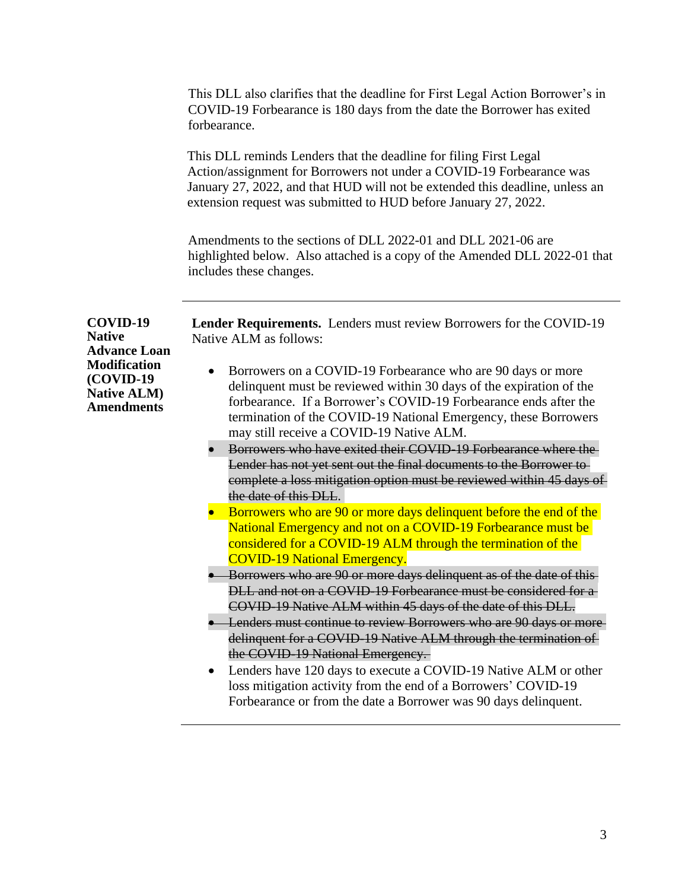This DLL also clarifies that the deadline for First Legal Action Borrower's in COVID-19 Forbearance is 180 days from the date the Borrower has exited forbearance.

This DLL reminds Lenders that the deadline for filing First Legal Action/assignment for Borrowers not under a COVID-19 Forbearance was January 27, 2022, and that HUD will not be extended this deadline, unless an extension request was submitted to HUD before January 27, 2022.

Amendments to the sections of DLL 2022-01 and DLL 2021-06 are highlighted below. Also attached is a copy of the Amended DLL 2022-01 that includes these changes.

| COVID-19<br><b>Native</b><br><b>Advance Loan</b><br><b>Modification</b><br>(COVID-19<br><b>Native ALM)</b><br><b>Amendments</b> | <b>Lender Requirements.</b> Lenders must review Borrowers for the COVID-19<br>Native ALM as follows:                                                                                                                                                                                                                  |
|---------------------------------------------------------------------------------------------------------------------------------|-----------------------------------------------------------------------------------------------------------------------------------------------------------------------------------------------------------------------------------------------------------------------------------------------------------------------|
|                                                                                                                                 | Borrowers on a COVID-19 Forbearance who are 90 days or more<br>delinquent must be reviewed within 30 days of the expiration of the<br>forbearance. If a Borrower's COVID-19 Forbearance ends after the<br>termination of the COVID-19 National Emergency, these Borrowers<br>may still receive a COVID-19 Native ALM. |
|                                                                                                                                 | Borrowers who have exited their COVID-19 Forbearance where the                                                                                                                                                                                                                                                        |
|                                                                                                                                 | Lender has not yet sent out the final documents to the Borrower to<br>complete a loss mitigation option must be reviewed within 45 days of<br>the date of this DLL.                                                                                                                                                   |
|                                                                                                                                 | Borrowers who are 90 or more days delinquent before the end of the                                                                                                                                                                                                                                                    |
|                                                                                                                                 | National Emergency and not on a COVID-19 Forbearance must be<br>considered for a COVID-19 ALM through the termination of the<br><b>COVID-19 National Emergency.</b>                                                                                                                                                   |
|                                                                                                                                 | Borrowers who are 90 or more days delinquent as of the date of this-                                                                                                                                                                                                                                                  |
|                                                                                                                                 | DLL and not on a COVID-19 Forbearance must be considered for a<br>COVID 19 Native ALM within 45 days of the date of this DLL.                                                                                                                                                                                         |
|                                                                                                                                 | Lenders must continue to review Borrowers who are 90 days or more-                                                                                                                                                                                                                                                    |
|                                                                                                                                 | delinquent for a COVID-19 Native ALM through the termination of<br>the COVID-19 National Emergency.                                                                                                                                                                                                                   |
|                                                                                                                                 | Lenders have 120 days to execute a COVID-19 Native ALM or other<br>$\bullet$                                                                                                                                                                                                                                          |
|                                                                                                                                 | loss mitigation activity from the end of a Borrowers' COVID-19                                                                                                                                                                                                                                                        |
|                                                                                                                                 | Forbearance or from the date a Borrower was 90 days delinquent.                                                                                                                                                                                                                                                       |

3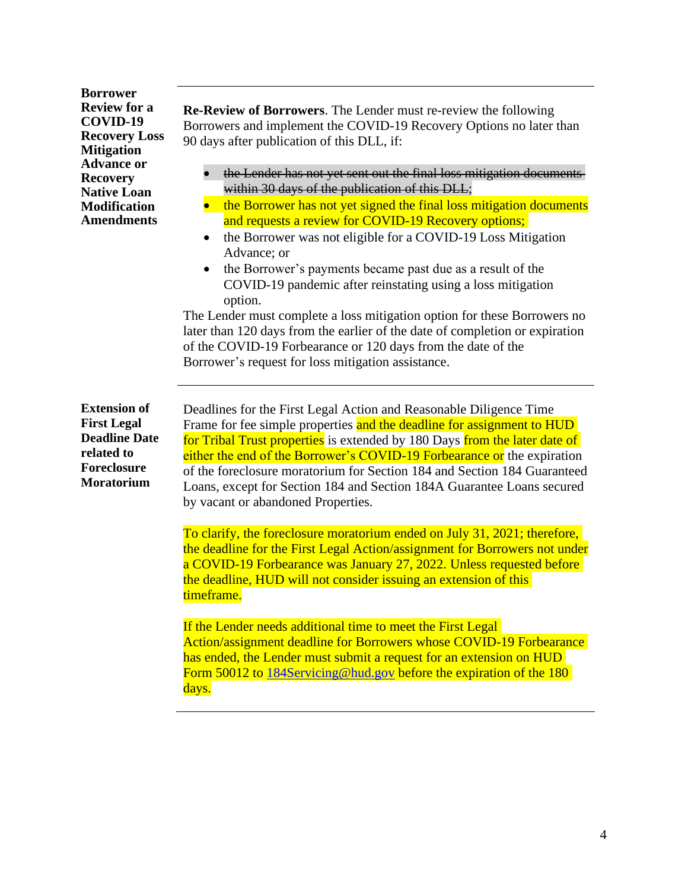**Borrower Review for a COVID-19 Recovery Loss Mitigation Advance or Recovery Native Loan Modification Amendments**

**Re-Review of Borrowers**. The Lender must re-review the following Borrowers and implement the COVID-19 Recovery Options no later than 90 days after publication of this DLL, if:

- the Lender has not yet sent out the final loss mitigation documents within 30 days of the publication of this DLL;
- the Borrower has not yet signed the final loss mitigation documents and requests a review for COVID-19 Recovery options;
- the Borrower was not eligible for a COVID-19 Loss Mitigation Advance; or
- the Borrower's payments became past due as a result of the COVID-19 pandemic after reinstating using a loss mitigation option.

The Lender must complete a loss mitigation option for these Borrowers no later than 120 days from the earlier of the date of completion or expiration of the COVID-19 Forbearance or 120 days from the date of the Borrower's request for loss mitigation assistance.

**Extension of First Legal Deadline Date related to Foreclosure Moratorium**

Deadlines for the First Legal Action and Reasonable Diligence Time Frame for fee simple properties and the deadline for assignment to HUD for Tribal Trust properties is extended by 180 Days from the later date of either the end of the Borrower's COVID-19 Forbearance or the expiration of the foreclosure moratorium for Section 184 and Section 184 Guaranteed Loans, except for Section 184 and Section 184A Guarantee Loans secured by vacant or abandoned Properties.

To clarify, the foreclosure moratorium ended on July 31, 2021; therefore, the deadline for the First Legal Action/assignment for Borrowers not under a COVID-19 Forbearance was January 27, 2022. Unless requested before the deadline, HUD will not consider issuing an extension of this timeframe.

If the Lender needs additional time to meet the First Legal Action/assignment deadline for Borrowers whose COVID-19 Forbearance has ended, the Lender must submit a request for an extension on HUD Form 50012 to [184Servicing@hud.gov](mailto:184Servicing@hud.gov) before the expiration of the 180 days.